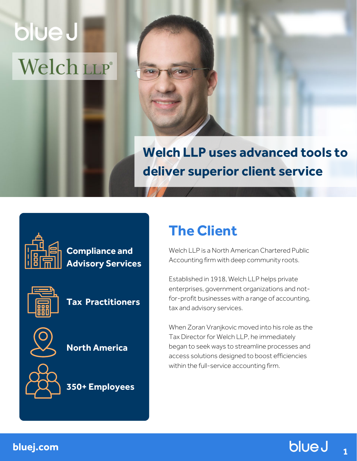# blue J Welch LLP®

# **Welch LLP uses advanced tools to deliver superior client service**



**Compliance and Advisory Services**



**Tax Practitioners**



**North America**



**350+ Employees**

# **The Client**

Welch LLP is a North American Chartered Public Accounting firm with deep community roots.

Established in 1918, Welch LLP helps private enterprises, government organizations and notfor-profit businesses with a range of accounting, tax and advisory services.

When Zoran Vranjkovic moved into his role as the Tax Director for Welch LLP, he immediately began to seek ways to streamline processes and access solutions designed to boost efficiencies within the full-service accounting firm.



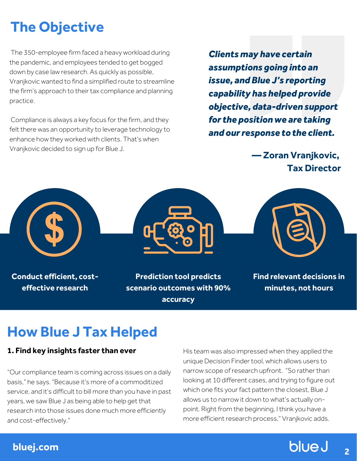# **The Objective**

The 350-employee firm faced a heavy workload during the pandemic, and employees tended to get bogged down by case law research. As quickly as possible, Vranjkovic wanted to find a simplified route to streamline the firm's approach to their tax compliance and planning practice.

Compliance is always a key focus for the firm, and they felt there was an opportunity to leverage technology to enhance how they worked with clients. That's when Vranjkovic decided to sign up for Blue J.

*Clients may have certain assumptions going into an issue, and Blue J's reporting capability has helped provide objective, data-driven support for the position we are taking and ourresponse to the client.*

> **— Zoran Vranjkovic, Tax Director**



**accuracy**

### **How Blue J Tax Helped**

#### **1. Find key insights faster than ever**

"Our compliance team is coming across issues on a daily basis," he says. "Because it's more of a commoditized service, and it's difficult to bill more than you have in past years, we saw Blue J as being able to help get that research into those issues done much more efficiently and cost-effectively."

His team was also impressed when they applied the unique Decision Finder tool, which allows users to narrow scope of research upfront. "So rather than looking at 10 different cases, and trying to figure out which one fits your fact pattern the closest, Blue J allows us to narrow it down to what's actually onpoint. Right from the beginning, I think you have a more efficient research process," Vranjkovic adds.